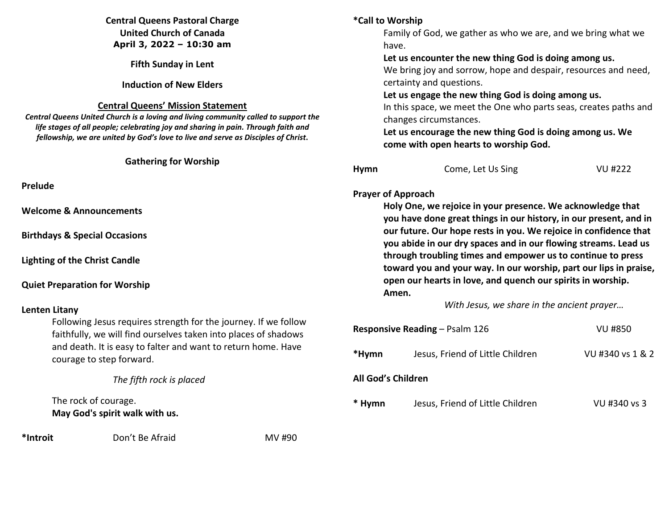# **Central Queens Pastoral Charge United Church of Canada April 3, 2022 – 10:30 am**

**Fifth Sunday in Lent** 

**Induction of New Elders** 

## **Central Queens' Mission Statement**

*Central Queens United Church is a loving and living community called to support the life stages of all people; celebrating joy and sharing in pain. Through faith and fellowship, we are united by God's love to live and serve as Disciples of Christ***.** 

## **Gathering for Worship**

**Prelude** 

**Welcome & Announcements** 

**Birthdays & Special Occasions** 

**Lighting of the Christ Candle** 

## **Quiet Preparation for Worship**

# **Lenten Litany**

 Following Jesus requires strength for the journey. If we follow faithfully, we will find ourselves taken into places of shadows and death. It is easy to falter and want to return home. Have courage to step forward.

*The fifth rock is placed* 

 The rock of courage.  **May God's spirit walk with us.**

**\*Introit** Don't Be Afraid MV #90

## **\*Call to Worship**

Family of God, we gather as who we are, and we bring what we have.

### **Let us encounter the new thing God is doing among us.**

We bring joy and sorrow, hope and despair, resources and need, certainty and questions.

**Let us engage the new thing God is doing among us.**

In this space, we meet the One who parts seas, creates paths and changes circumstances.

**Let us encourage the new thing God is doing among us. We come with open hearts to worship God.** 

| Hymn | Come, Let Us Sing | VU #222 |
|------|-------------------|---------|
|      |                   |         |

## **Prayer of Approach**

 **Holy One, we rejoice in your presence. We acknowledge that you have done great things in our history, in our present, and in our future. Our hope rests in you. We rejoice in confidence that you abide in our dry spaces and in our flowing streams. Lead us through troubling times and empower us to continue to press toward you and your way. In our worship, part our lips in praise, open our hearts in love, and quench our spirits in worship. Amen.** 

*With Jesus, we share in the ancient prayer…* 

| <b>Responsive Reading – Psalm 126</b> |                                  | VU #850          |  |  |
|---------------------------------------|----------------------------------|------------------|--|--|
| *Hymn                                 | Jesus, Friend of Little Children | VU #340 vs 1 & 2 |  |  |
| All God's Children                    |                                  |                  |  |  |
| * Hymn                                | Jesus, Friend of Little Children | VU #340 vs 3     |  |  |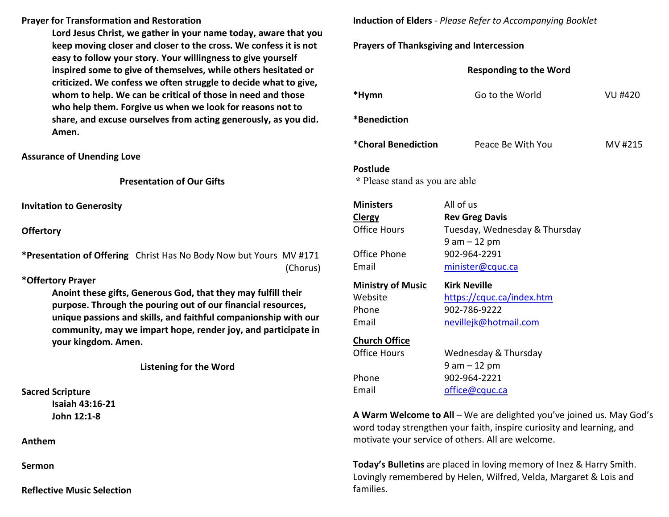#### **Prayer for Transformation and Restoration**

**Lord Jesus Christ, we gather in your name today, aware that you keep moving closer and closer to the cross. We confess it is not easy to follow your story. Your willingness to give yourself inspired some to give of themselves, while others hesitated or criticized. We confess we often struggle to decide what to give, whom to help. We can be critical of those in need and those who help them. Forgive us when we look for reasons not to share, and excuse ourselves from acting generously, as you did. Amen.** 

**Assurance of Unending Love** 

**Presentation of Our Gifts**

**Invitation to Generosity** 

**Offertory**

**\*Presentation of Offering** Christ Has No Body Now but Yours MV #171 (Chorus)

### **\*Offertory Prayer**

**Anoint these gifts, Generous God, that they may fulfill their purpose. Through the pouring out of our financial resources, unique passions and skills, and faithful companionship with our community, may we impart hope, render joy, and participate in your kingdom. Amen.**

**Listening for the Word** 

**Sacred Scripture** 

 **Isaiah 43:16-21 John 12:1-8** 

**Anthem** 

**Sermon** 

**Reflective Music Selection** 

**Induction of Elders** - *Please Refer to Accompanying Booklet* 

## **Prayers of Thanksgiving and Intercession**

| <b>Responding to the Word</b>                         |                                                                                           |                |  |  |
|-------------------------------------------------------|-------------------------------------------------------------------------------------------|----------------|--|--|
| *Hymn                                                 | Go to the World                                                                           | <b>VU #420</b> |  |  |
| *Benediction                                          |                                                                                           |                |  |  |
| *Choral Benediction                                   | Peace Be With You                                                                         | MV #215        |  |  |
| <b>Postlude</b><br>* Please stand as you are able     |                                                                                           |                |  |  |
| <b>Ministers</b><br>Clergy<br><b>Office Hours</b>     | All of us<br><b>Rev Greg Davis</b><br>Tuesday, Wednesday & Thursday<br>$9$ am $-12$ pm    |                |  |  |
| Office Phone<br>Email                                 | 902-964-2291<br>minister@cquc.ca                                                          |                |  |  |
| <b>Ministry of Music</b><br>Website<br>Phone<br>Email | <b>Kirk Neville</b><br>https://cquc.ca/index.htm<br>902-786-9222<br>nevillejk@hotmail.com |                |  |  |
| <b>Church Office</b><br><b>Office Hours</b>           | Wednesday & Thursday<br>$9$ am $-12$ pm                                                   |                |  |  |
| Phone<br>Email                                        | 902-964-2221<br>office@cquc.ca                                                            |                |  |  |

**A Warm Welcome to All** – We are delighted you've joined us. May God's word today strengthen your faith, inspire curiosity and learning, and motivate your service of others. All are welcome.

**Today's Bulletins** are placed in loving memory of Inez & Harry Smith.Lovingly remembered by Helen, Wilfred, Velda, Margaret & Lois and families.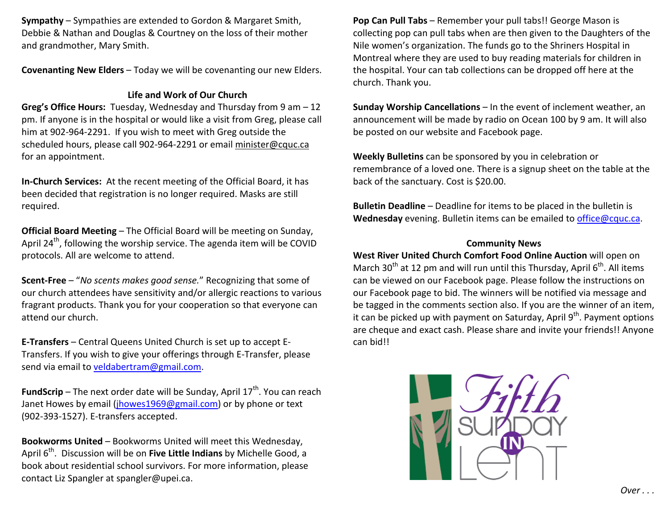**Sympathy** – Sympathies are extended to Gordon & Margaret Smith, Debbie & Nathan and Douglas & Courtney on the loss of their mother and grandmother, Mary Smith.

**Covenanting New Elders** – Today we will be covenanting our new Elders.

# **Life and Work of Our Church**

**Greg's Office Hours:** Tuesday, Wednesday and Thursday from 9 am – 12 pm. If anyone is in the hospital or would like a visit from Greg, please call him at 902-964-2291. If you wish to meet with Greg outside the scheduled hours, please call 902-964-2291 or email minister@cquc.ca for an appointment.

**In-Church Services:** At the recent meeting of the Official Board, it has been decided that registration is no longer required. Masks are still required.

**Official Board Meeting** – The Official Board will be meeting on Sunday, April  $24^{th}$ , following the worship service. The agenda item will be COVID protocols. All are welcome to attend.

**Scent-Free** – "*No scents makes good sense.*" Recognizing that some of our church attendees have sensitivity and/or allergic reactions to various fragrant products. Thank you for your cooperation so that everyone can attend our church.

**E-Transfers** – Central Queens United Church is set up to accept E-Transfers. If you wish to give your offerings through E-Transfer, please send via email to veldabertram@gmail.com.

**FundScrip** – The next order date will be Sunday, April 17<sup>th</sup>. You can reach Janet Howes by email (jhowes1969@gmail.com) or by phone or text (902-393-1527). E-transfers accepted.

**Bookworms United** – Bookworms United will meet this Wednesday, April 6<sup>th</sup>. Discussion will be on Five Little Indians by Michelle Good, a book about residential school survivors. For more information, please contact Liz Spangler at spangler@upei.ca.

**Pop Can Pull Tabs** – Remember your pull tabs!! George Mason is collecting pop can pull tabs when are then given to the Daughters of the Nile women's organization. The funds go to the Shriners Hospital in Montreal where they are used to buy reading materials for children in the hospital. Your can tab collections can be dropped off here at the church. Thank you.

**Sunday Worship Cancellations** – In the event of inclement weather, an announcement will be made by radio on Ocean 100 by 9 am. It will also be posted on our website and Facebook page.

**Weekly Bulletins** can be sponsored by you in celebration or remembrance of a loved one. There is a signup sheet on the table at the back of the sanctuary. Cost is \$20.00.

**Bulletin Deadline** – Deadline for items to be placed in the bulletin is **Wednesday** evening. Bulletin items can be emailed to office@cquc.ca.

### **Community News**

**West River United Church Comfort Food Online Auction** will open on March 30<sup>th</sup> at 12 pm and will run until this Thursday, April 6<sup>th</sup>. All items can be viewed on our Facebook page. Please follow the instructions on our Facebook page to bid. The winners will be notified via message and be tagged in the comments section also. If you are the winner of an item, it can be picked up with payment on Saturday, April  $9<sup>th</sup>$ . Payment options are cheque and exact cash. Please share and invite your friends!! Anyone can bid!!